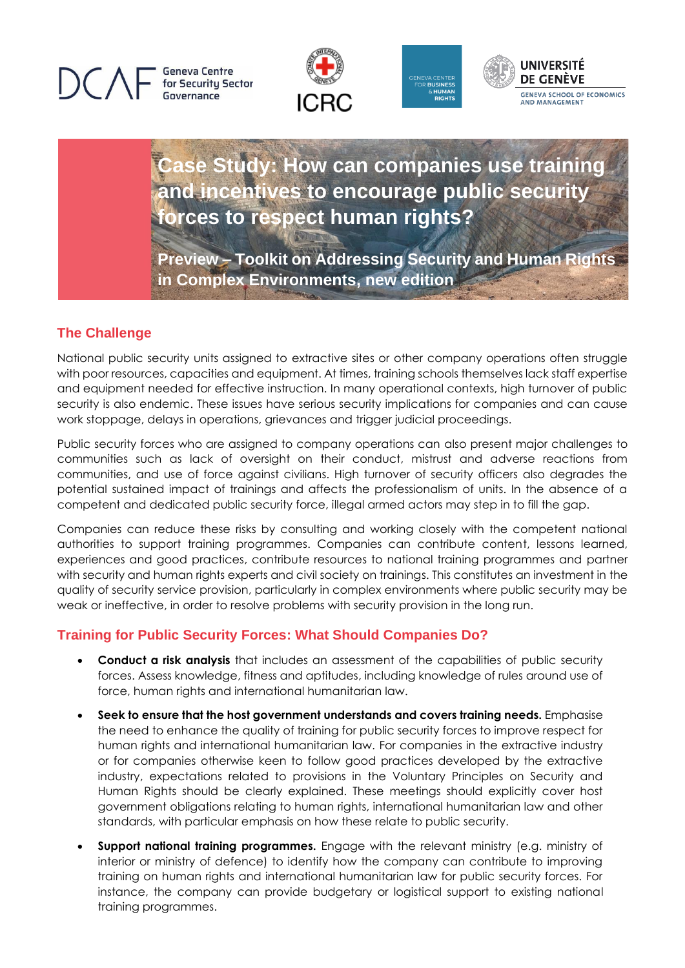**Geneva Centre** for Security Sector Governance







## **Case Study: How can companies use training and incentives to encourage public security forces to respect human rights?**

**Preview – Toolkit on Addressing Security and Human Rights in Complex Environments, new edition**

## **The Challenge**

National public security units assigned to extractive sites or other company operations often struggle with poor resources, capacities and equipment. At times, training schools themselves lack staff expertise and equipment needed for effective instruction. In many operational contexts, high turnover of public security is also endemic. These issues have serious security implications for companies and can cause work stoppage, delays in operations, grievances and trigger judicial proceedings.

Public security forces who are assigned to company operations can also present major challenges to communities such as lack of oversight on their conduct, mistrust and adverse reactions from communities, and use of force against civilians. High turnover of security officers also degrades the potential sustained impact of trainings and affects the professionalism of units. In the absence of a competent and dedicated public security force, illegal armed actors may step in to fill the gap.

Companies can reduce these risks by consulting and working closely with the competent national authorities to support training programmes. Companies can contribute content, lessons learned, experiences and good practices, contribute resources to national training programmes and partner with security and human rights experts and civil society on trainings. This constitutes an investment in the quality of security service provision, particularly in complex environments where public security may be weak or ineffective, in order to resolve problems with security provision in the long run.

## **Training for Public Security Forces: What Should Companies Do?**

- **Conduct a risk analysis** that includes an assessment of the capabilities of public security forces. Assess knowledge, fitness and aptitudes, including knowledge of rules around use of force, human rights and international humanitarian law.
- **Seek to ensure that the host government understands and covers training needs.** Emphasise the need to enhance the quality of training for public security forces to improve respect for human rights and international humanitarian law. For companies in the extractive industry or for companies otherwise keen to follow good practices developed by the extractive industry, expectations related to provisions in the Voluntary Principles on Security and Human Rights should be clearly explained. These meetings should explicitly cover host government obligations relating to human rights, international humanitarian law and other standards, with particular emphasis on how these relate to public security.
- **Support national training programmes.** Engage with the relevant ministry (e.g. ministry of interior or ministry of defence) to identify how the company can contribute to improving training on human rights and international humanitarian law for public security forces. For instance, the company can provide budgetary or logistical support to existing national training programmes.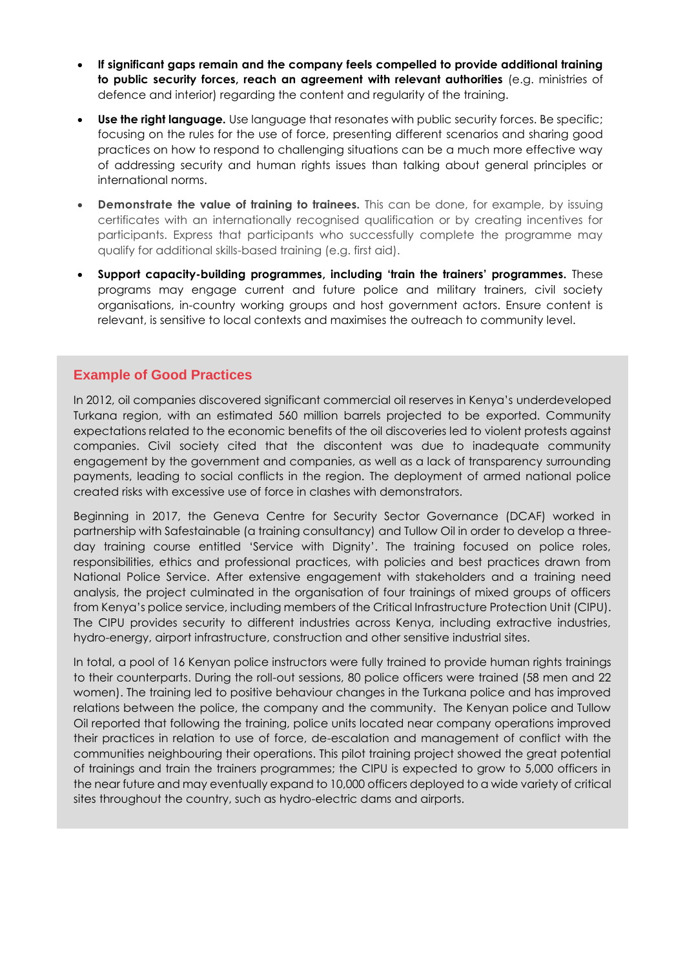- **If significant gaps remain and the company feels compelled to provide additional training to public security forces, reach an agreement with relevant authorities** (e.g. ministries of defence and interior) regarding the content and regularity of the training.
- **Use the right language.** Use language that resonates with public security forces. Be specific; focusing on the rules for the use of force, presenting different scenarios and sharing good practices on how to respond to challenging situations can be a much more effective way of addressing security and human rights issues than talking about general principles or international norms.
- **Demonstrate the value of training to trainees.** This can be done, for example, by issuing certificates with an internationally recognised qualification or by creating incentives for participants. Express that participants who successfully complete the programme may qualify for additional skills-based training (e.g. first aid).
- **Support capacity-building programmes, including 'train the trainers' programmes.** These programs may engage current and future police and military trainers, civil society organisations, in-country working groups and host government actors. Ensure content is relevant, is sensitive to local contexts and maximises the outreach to community level.

## **Example of Good Practices**

In 2012, oil companies discovered significant commercial oil reserves in Kenya's underdeveloped Turkana region, with an estimated 560 million barrels projected to be exported. Community expectations related to the economic benefits of the oil discoveries led to violent protests against companies. Civil society cited that the discontent was due to inadequate community engagement by the government and companies, as well as a lack of transparency surrounding payments, leading to social conflicts in the region. The deployment of armed national police created risks with excessive use of force in clashes with demonstrators.

Beginning in 2017, the Geneva Centre for Security Sector Governance (DCAF) worked in partnership with Safestainable (a training consultancy) and Tullow Oil in order to develop a threeday training course entitled 'Service with Dignity'. The training focused on police roles, responsibilities, ethics and professional practices, with policies and best practices drawn from National Police Service. After extensive engagement with stakeholders and a training need analysis, the project culminated in the organisation of four trainings of mixed groups of officers from Kenya's police service, including members of the Critical Infrastructure Protection Unit (CIPU). The CIPU provides security to different industries across Kenya, including extractive industries, hydro-energy, airport infrastructure, construction and other sensitive industrial sites.

In total, a pool of 16 Kenyan police instructors were fully trained to provide human rights trainings to their counterparts. During the roll-out sessions, 80 police officers were trained (58 men and 22 women). The training led to positive behaviour changes in the Turkana police and has improved relations between the police, the company and the community. The Kenyan police and Tullow Oil reported that following the training, police units located near company operations improved their practices in relation to use of force, de-escalation and management of conflict with the communities neighbouring their operations. This pilot training project showed the great potential of trainings and train the trainers programmes; the CIPU is expected to grow to 5,000 officers in the near future and may eventually expand to 10,000 officers deployed to a wide variety of critical sites throughout the country, such as hydro-electric dams and airports.